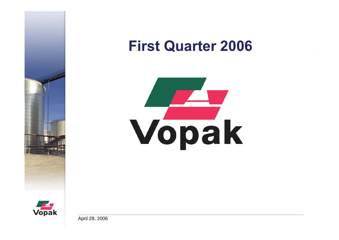

# **First Quarter 2006**





April 28, 2006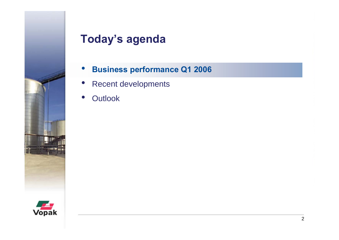

# **Today's agenda**

- $\bullet$ **Business performance Q1 2006**
- •Recent developments
- •**Outlook**

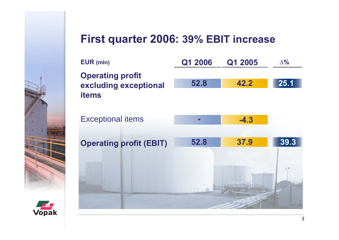#### **First quarter 2006: 39% EBIT increase**

| EUR (mln)                                                        | Q1 2006 | Q1 2005 | $\Delta\%$ |
|------------------------------------------------------------------|---------|---------|------------|
| <b>Operating profit</b><br>excluding exceptional<br><b>items</b> | 52.8    | 42.2    | 25.1       |
| <b>Exceptional items</b>                                         | ▅       | $-4.3$  |            |
| <b>Operating profit (EBIT)</b>                                   | 52.8    | 37.9    | 39.3       |
|                                                                  |         |         |            |

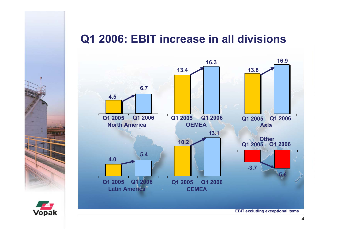## **Q1 2006: EBIT increase in all divisions**





**EBIT excluding exceptional items**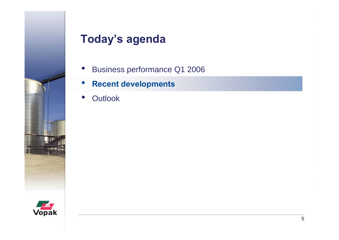

# **Today's agenda**

- $\bullet$ Business performance Q1 2006
- $\bullet$ **Recent developments**
- •**Outlook**

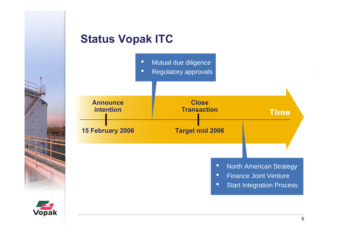#### **Status Vopak ITC**





- •• Finance Joint Venture
- $\bullet$ Start Integration Process

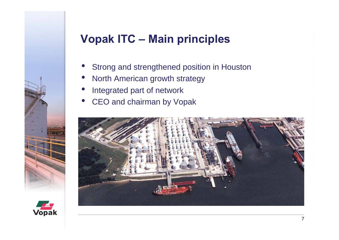# **Vopak ITC – Main principles**

- •Strong and strengthened position in Houston
- •North American growth strategy
- •Integrated part of network
- •CEO and chairman by Vopak



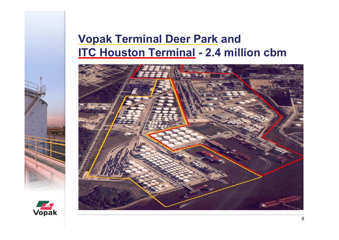### **Vopak Terminal Deer Park and ITC Houston Terminal - 2.4 million cbm**



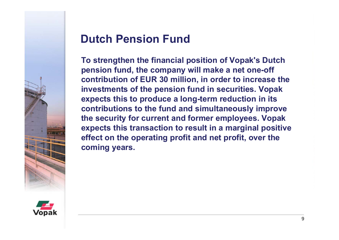

# **Dutch Pension Fund**

**To strengthen the financial position of Vopak's Dutch pension fund, the company will make a net one-off contribution of EUR 30 million, in order to increase the investments of the pension fund in securities. Vopak expects this to produce a long-term reduction in its contributions to the fund and simultaneously improve the security for current and former employees. Vopak expects this transaction to result in a marginal positive effect on the operating profit and net profit, over the coming years.**

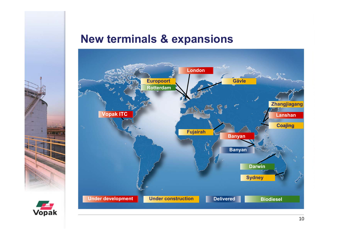#### **New terminals & expansions**



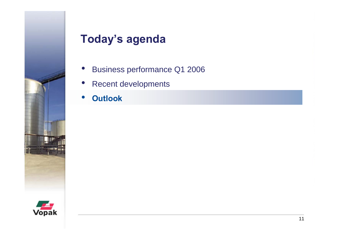

# **Today's agenda**

- $\bullet$ Business performance Q1 2006
- •Recent developments
- •**Outlook**

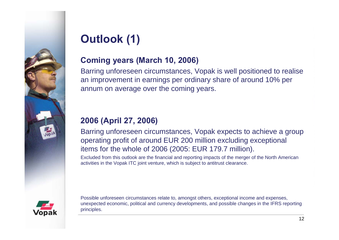

# **Outlook (1)**

#### **Coming years (March 10, 2006)**

Barring unforeseen circumstances, Vopak is well positioned to realise an improvement in earnings per ordinary share of around 10% per annum on average over the coming years.

#### **2006 (April 27, 2006)**

Barring unforeseen circumstances, Vopak expects to achieve a group operating profit of around EUR 200 million excluding exceptional items for the whole of 2006 (2005: EUR 179.7 million).

Excluded from this outlook are the financial and reporting impacts of the merger of the North American activities in the Vopak ITC joint venture, which is subject to antitrust clearance.



Possible unforeseen circumstances relate to, amongst others, exceptional income and expenses, unexpected economic, political and currency developments, and possible changes in the IFRS reporting principles.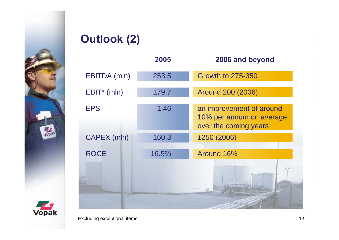

# **Outlook (2)**

|                         | 2005  | 2006 and beyond                                                               |  |
|-------------------------|-------|-------------------------------------------------------------------------------|--|
| <b>EBITDA</b> (mln)     | 253.5 | <b>Growth to 275-350</b>                                                      |  |
| EBIT <sup>*</sup> (mln) | 179.7 | <b>Around 200 (2006)</b>                                                      |  |
| <b>EPS</b>              | 1.46  | an improvement of around<br>10% per annum on average<br>over the coming years |  |
| CAPEX (mln)             | 160.3 | ±250(2006)                                                                    |  |
| <b>ROCE</b>             | 16.5% | Around 16%                                                                    |  |
|                         |       |                                                                               |  |

Excluding exceptional items